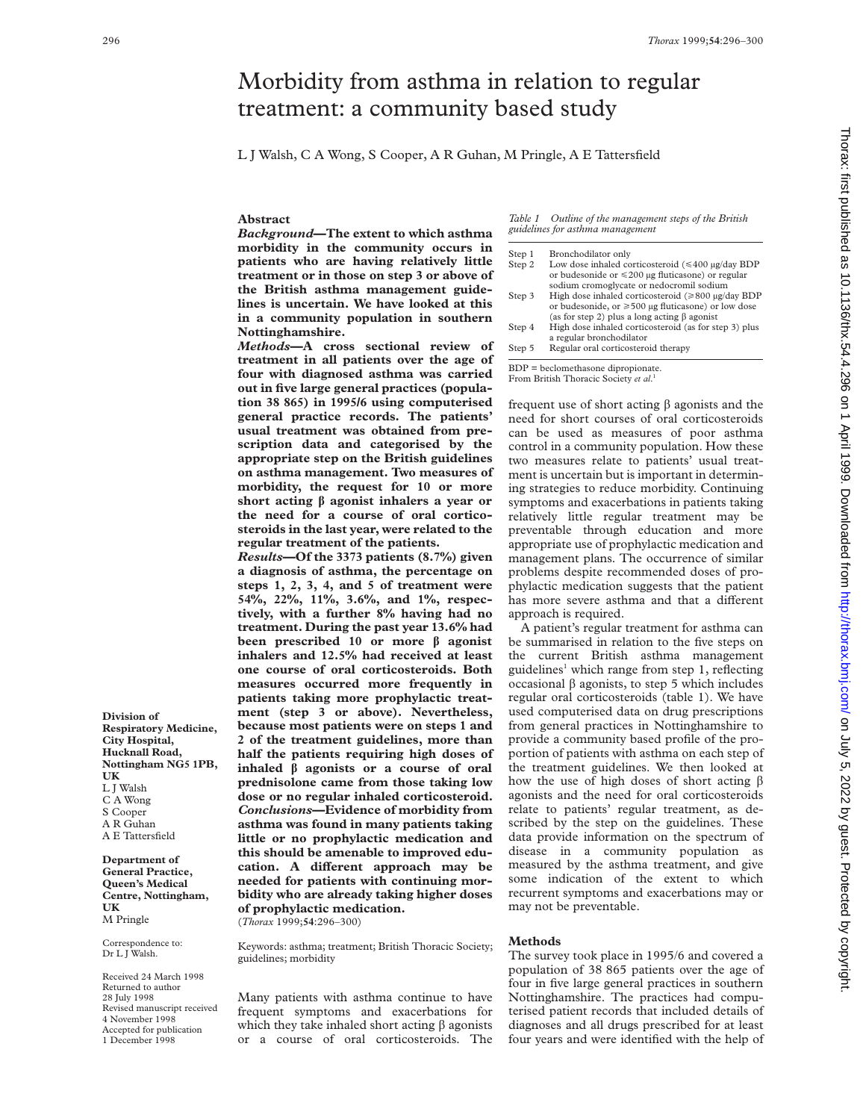# Morbidity from asthma in relation to regular treatment: a community based study

L J Walsh, C A Wong, S Cooper, A R Guhan, M Pringle, A E Tattersfield

**Abstract**

*Background***—The extent to which asthma morbidity in the community occurs in patients who are having relatively little treatment or in those on step 3 or above of the British asthma management guidelines is uncertain. We have looked at this in a community population in southern Nottinghamshire.**

*Methods***—A cross sectional review of treatment in all patients over the age of four with diagnosed asthma was carried out in five large general practices (population 38 865) in 1995/6 using computerised general practice records. The patients' usual treatment was obtained from prescription data and categorised by the appropriate step on the British guidelines on asthma management. Two measures of morbidity, the request for 10 or more short acting â agonist inhalers a year or the need for a course of oral corticosteroids in the last year, were related to the regular treatment of the patients.**

*Results***—Of the 3373 patients (8.7%) given a diagnosis of asthma, the percentage on steps 1, 2, 3, 4, and 5 of treatment were 54%, 22%, 11%, 3.6%, and 1%, respectively, with a further 8% having had no treatment. During the past year 13.6% had been prescribed 10 or more â agonist inhalers and 12.5% had received at least one course of oral corticosteroids. Both measures occurred more frequently in patients taking more prophylactic treatment (step 3 or above). Nevertheless, because most patients were on steps 1 and 2 of the treatment guidelines, more than half the patients requiring high doses of inhaled â agonists or a course of oral prednisolone came from those taking low dose or no regular inhaled corticosteroid.** *Conclusions***—Evidence of morbidity from asthma was found in many patients taking little or no prophylactic medication and this should be amenable to improved edu**cation. A different approach may be **needed for patients with continuing morbidity who are already taking higher doses of prophylactic medication.** (*Thorax* 1999;**54**:296–300)

Keywords: asthma; treatment; British Thoracic Society; guidelines; morbidity

Many patients with asthma continue to have frequent symptoms and exacerbations for which they take inhaled short acting  $\beta$  agonists or a course of oral corticosteroids. The *Table 1 Outline of the management steps of the British guidelines for asthma management*

| Step 1 | Bronchodilator only                                              |  |
|--------|------------------------------------------------------------------|--|
| Step 2 | Low dose inhaled corticosteroid $(\leq 400 \text{ µg/day BDP})$  |  |
|        | or budesonide or $\leq 200$ µg fluticasone) or regular           |  |
|        | sodium cromoglycate or nedocromil sodium                         |  |
| Step 3 | High dose inhaled corticosteroid $(\geq 800 \text{ µg/day BDP})$ |  |
|        | or budesonide, or $\geq 500$ µg fluticasone) or low dose         |  |
|        | (as for step 2) plus a long acting $\beta$ agonist               |  |
| Step 4 | High dose inhaled corticosteroid (as for step 3) plus            |  |
|        | a regular bronchodilator                                         |  |
| Step 5 | Regular oral corticosteroid therapy                              |  |

BDP = beclomethasone dipropionate.

From British Thoracic Society *et al*. 1

frequent use of short acting  $\beta$  agonists and the need for short courses of oral corticosteroids can be used as measures of poor asthma control in a community population. How these two measures relate to patients' usual treatment is uncertain but is important in determining strategies to reduce morbidity. Continuing symptoms and exacerbations in patients taking relatively little regular treatment may be preventable through education and more appropriate use of prophylactic medication and management plans. The occurrence of similar problems despite recommended doses of prophylactic medication suggests that the patient has more severe asthma and that a different approach is required.

A patient's regular treatment for asthma can be summarised in relation to the five steps on the current British asthma management guidelines<sup>1</sup> which range from step 1, reflecting occasional  $\beta$  agonists, to step 5 which includes regular oral corticosteroids (table 1). We have used computerised data on drug prescriptions from general practices in Nottinghamshire to provide a community based profile of the proportion of patients with asthma on each step of the treatment guidelines. We then looked at how the use of high doses of short acting  $\beta$ agonists and the need for oral corticosteroids relate to patients' regular treatment, as described by the step on the guidelines. These data provide information on the spectrum of disease in a community population as measured by the asthma treatment, and give some indication of the extent to which recurrent symptoms and exacerbations may or may not be preventable.

### **Methods**

The survey took place in 1995/6 and covered a population of 38 865 patients over the age of four in five large general practices in southern Nottinghamshire. The practices had computerised patient records that included details of diagnoses and all drugs prescribed for at least four years and were identified with the help of

**Division of Respiratory Medicine, City Hospital, Hucknall Road, Nottingham NG5 1PB, UK** L J Walsh C A Wong S Cooper A R Guhan A E Tattersfield

**Department of General Practice, Queen's Medical Centre, Nottingham, UK** M Pringle

Correspondence to: Dr L J Walsh.

Received 24 March 1998 Returned to author 28 July 1998 Revised manuscript received 4 November 1998 Accepted for publication 1 December 1998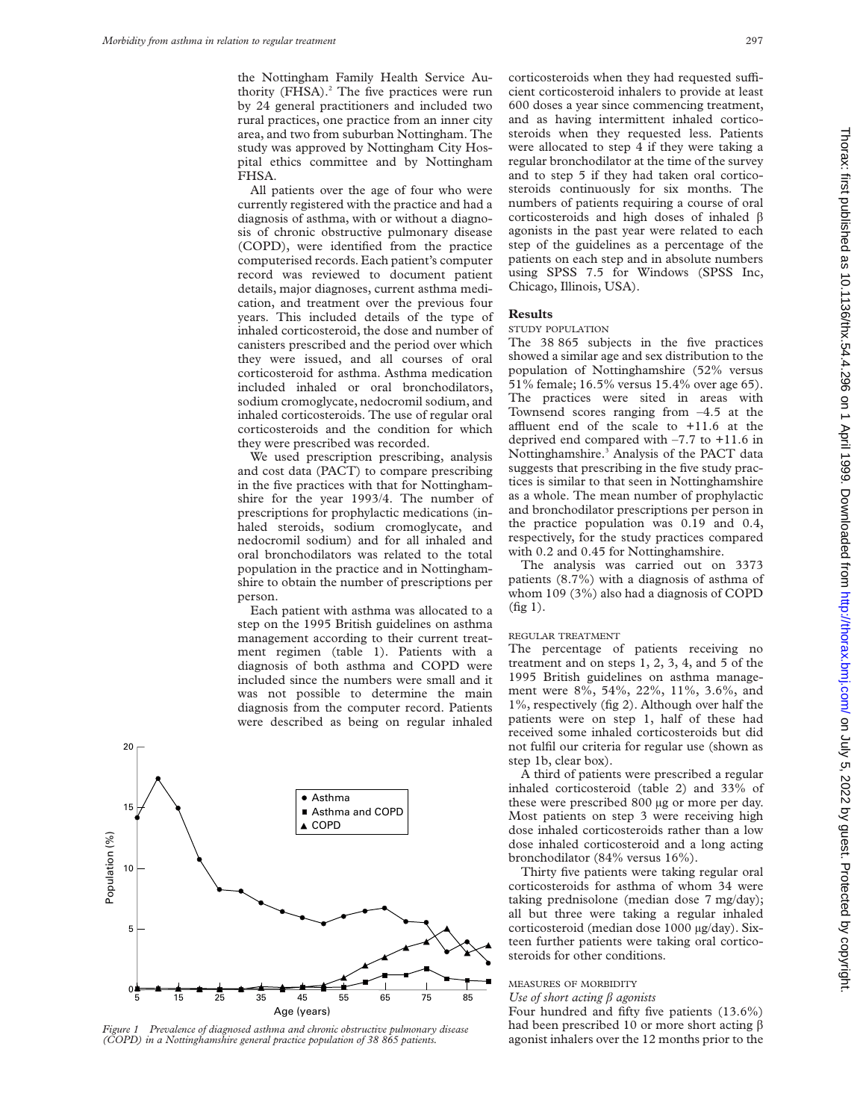the Nottingham Family Health Service Authority (FHSA). $^{2}$  The five practices were run by 24 general practitioners and included two rural practices, one practice from an inner city area, and two from suburban Nottingham. The study was approved by Nottingham City Hospital ethics committee and by Nottingham FHSA.

All patients over the age of four who were currently registered with the practice and had a diagnosis of asthma, with or without a diagnosis of chronic obstructive pulmonary disease (COPD), were identified from the practice computerised records. Each patient's computer record was reviewed to document patient details, major diagnoses, current asthma medication, and treatment over the previous four years. This included details of the type of inhaled corticosteroid, the dose and number of canisters prescribed and the period over which they were issued, and all courses of oral corticosteroid for asthma. Asthma medication included inhaled or oral bronchodilators, sodium cromoglycate, nedocromil sodium, and inhaled corticosteroids. The use of regular oral corticosteroids and the condition for which they were prescribed was recorded.

We used prescription prescribing, analysis and cost data (PACT) to compare prescribing in the five practices with that for Nottinghamshire for the year 1993/4. The number of prescriptions for prophylactic medications (inhaled steroids, sodium cromoglycate, and nedocromil sodium) and for all inhaled and oral bronchodilators was related to the total population in the practice and in Nottinghamshire to obtain the number of prescriptions per person.

Each patient with asthma was allocated to a step on the 1995 British guidelines on asthma management according to their current treatment regimen (table 1). Patients with a diagnosis of both asthma and COPD were included since the numbers were small and it was not possible to determine the main diagnosis from the computer record. Patients were described as being on regular inhaled



agonist inhalers over the 12 months prior to the *Figure 1 Prevalence of diagnosed asthma and chronic obstructive pulmonary disease (COPD) in a Nottinghamshire general practice population of 38 865 patients.*

corticosteroids when they had requested sufficient corticosteroid inhalers to provide at least 600 doses a year since commencing treatment, and as having intermittent inhaled corticosteroids when they requested less. Patients were allocated to step 4 if they were taking a regular bronchodilator at the time of the survey and to step 5 if they had taken oral corticosteroids continuously for six months. The numbers of patients requiring a course of oral corticosteroids and high doses of inhaled  $\beta$ agonists in the past year were related to each step of the guidelines as a percentage of the patients on each step and in absolute numbers using SPSS 7.5 for Windows (SPSS Inc, Chicago, Illinois, USA).

#### **Results**

#### STUDY POPULATION

The 38 865 subjects in the five practices showed a similar age and sex distribution to the population of Nottinghamshire (52% versus 51% female; 16.5% versus 15.4% over age 65). The practices were sited in areas with Townsend scores ranging from –4.5 at the affluent end of the scale to  $+11.6$  at the deprived end compared with –7.7 to +11.6 in Nottinghamshire.<sup>3</sup> Analysis of the PACT data suggests that prescribing in the five study practices is similar to that seen in Nottinghamshire as a whole. The mean number of prophylactic and bronchodilator prescriptions per person in the practice population was 0.19 and 0.4, respectively, for the study practices compared with 0.2 and 0.45 for Nottinghamshire.

The analysis was carried out on 3373 patients (8.7%) with a diagnosis of asthma of whom 109 (3%) also had a diagnosis of COPD (fig 1).

#### REGULAR TREATMENT

The percentage of patients receiving no treatment and on steps 1, 2, 3, 4, and 5 of the 1995 British guidelines on asthma management were 8%, 54%, 22%, 11%, 3.6%, and 1%, respectively (fig 2). Although over half the patients were on step 1, half of these had received some inhaled corticosteroids but did not fulfil our criteria for regular use (shown as step 1b, clear box).

A third of patients were prescribed a regular inhaled corticosteroid (table 2) and 33% of these were prescribed 800 µg or more per day. Most patients on step 3 were receiving high dose inhaled corticosteroids rather than a low dose inhaled corticosteroid and a long acting bronchodilator (84% versus 16%).

Thirty five patients were taking regular oral corticosteroids for asthma of whom 34 were taking prednisolone (median dose 7 mg/day); all but three were taking a regular inhaled corticosteroid (median dose 1000 µg/day). Sixteen further patients were taking oral corticosteroids for other conditions.

## MEASURES OF MORBIDITY

*Use of short acting â agonists*

Four hundred and fifty five patients (13.6%) had been prescribed 10 or more short acting  $\beta$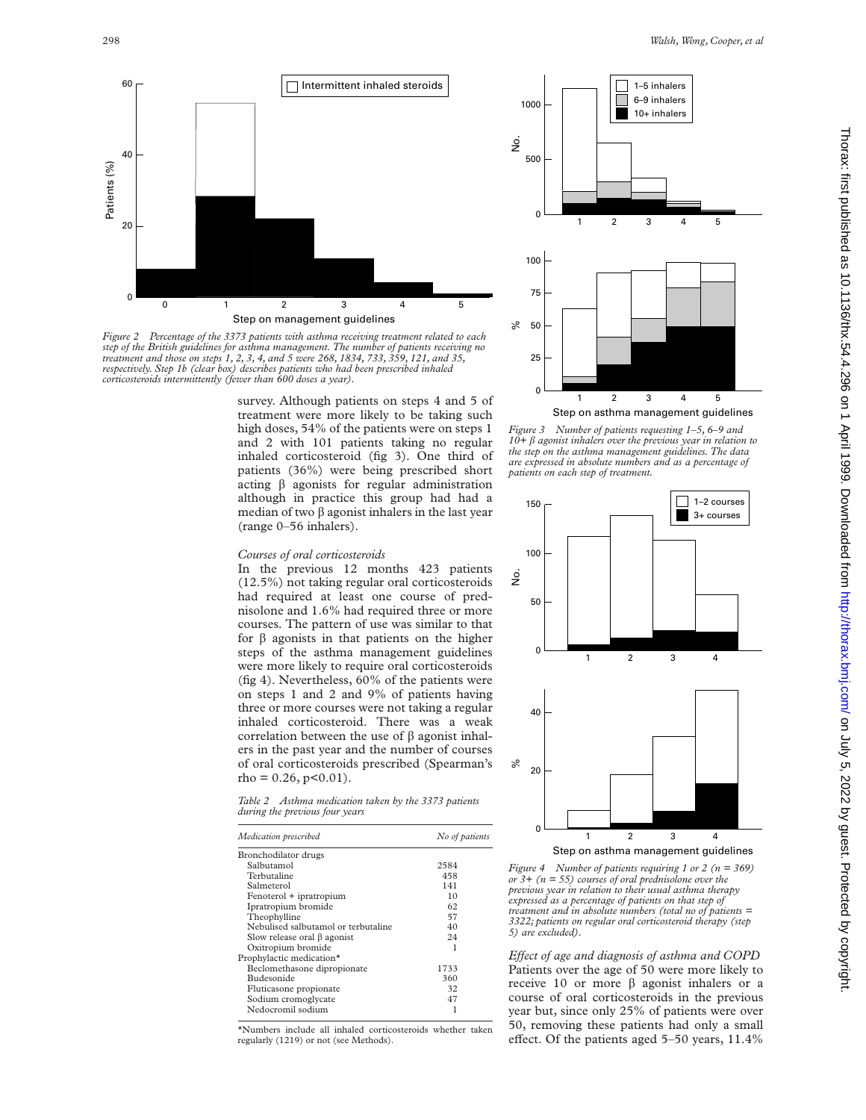

*Figure 2 Percentage of the 3373 patients with asthma receiving treatment related to each step of the British guidelines for asthma management. The number of patients receiving no treatment and those on steps 1, 2, 3, 4, and 5 were 268, 1834, 733, 359, 121, and 35, respectively. Step 1b (clear box) describes patients who had been prescribed inhaled corticosteroids intermittently (fewer than 600 doses a year).*

survey. Although patients on steps 4 and 5 of treatment were more likely to be taking such high doses, 54% of the patients were on steps 1 and 2 with 101 patients taking no regular inhaled corticosteroid (fig 3). One third of patients (36%) were being prescribed short acting  $\beta$  agonists for regular administration although in practice this group had had a median of two  $\beta$  agonist inhalers in the last year (range 0–56 inhalers).

#### *Courses of oral corticosteroids*

In the previous 12 months 423 patients (12.5%) not taking regular oral corticosteroids had required at least one course of prednisolone and 1.6% had required three or more courses. The pattern of use was similar to that for  $\beta$  agonists in that patients on the higher steps of the asthma management guidelines were more likely to require oral corticosteroids (fig 4). Nevertheless, 60% of the patients were on steps 1 and 2 and 9% of patients having three or more courses were not taking a regular inhaled corticosteroid. There was a weak correlation between the use of  $\beta$  agonist inhalers in the past year and the number of courses of oral corticosteroids prescribed (Spearman's  $rho = 0.26, p < 0.01$ ).

*Table 2 Asthma medication taken by the 3373 patients during the previous four years*

| Medication prescribed               | No of patients |
|-------------------------------------|----------------|
| Bronchodilator drugs                |                |
| Salbutamol                          | 2584           |
| Terbutaline                         | 458            |
| Salmeterol                          | 141            |
| Fenoterol + ipratropium             | 10             |
| Ipratropium bromide                 | 62             |
| Theophylline                        | 57             |
| Nebulised salbutamol or terbutaline | 40             |
| Slow release oral $\beta$ agonist   | 24             |
| Oxitropium bromide                  | 1              |
| Prophylactic medication*            |                |
| Beclomethasone dipropionate         | 1733           |
| Budesonide                          | 360            |
| Fluticasone propionate              | 32             |
| Sodium cromoglycate                 | 47             |
| Nedocromil sodium                   |                |

\*Numbers include all inhaled corticosteroids whether taken regularly (1219) or not (see Methods).



*Figure 3 Number of patients requesting 1–5, 6–9 and 10+ â agonist inhalers over the previous year in relation to the step on the asthma management guidelines. The data are expressed in absolute numbers and as a percentage of patients on each step of treatment.*



*Figure 4 Number of patients requiring 1 or 2 (n = 369) or 3+ (n = 55) courses of oral prednisolone over the previous year in relation to their usual asthma therapy expressed as a percentage of patients on that step of treatment and in absolute numbers (total no of patients = 3322; patients on regular oral corticosteroid therapy (step 5) are excluded).*

*Effect of age and diagnosis of asthma and COPD* Patients over the age of 50 were more likely to receive 10 or more  $\beta$  agonist inhalers or a course of oral corticosteroids in the previous year but, since only 25% of patients were over 50, removing these patients had only a small effect. Of the patients aged  $5-50$  years,  $11.4\%$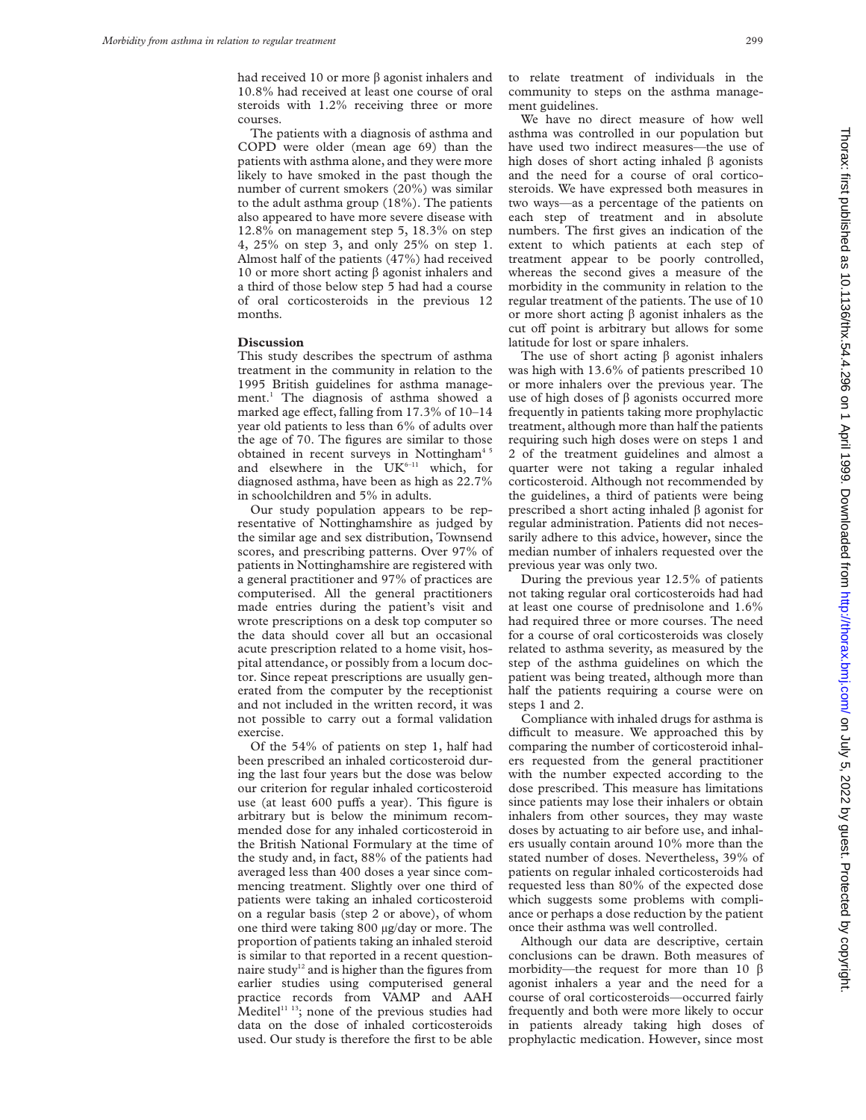had received 10 or more  $\beta$  agonist inhalers and 10.8% had received at least one course of oral steroids with 1.2% receiving three or more courses.

The patients with a diagnosis of asthma and COPD were older (mean age 69) than the patients with asthma alone, and they were more likely to have smoked in the past though the number of current smokers (20%) was similar to the adult asthma group (18%). The patients also appeared to have more severe disease with 12.8% on management step 5, 18.3% on step 4, 25% on step 3, and only 25% on step 1. Almost half of the patients (47%) had received 10 or more short acting  $\beta$  agonist inhalers and a third of those below step 5 had had a course of oral corticosteroids in the previous 12 months.

#### **Discussion**

This study describes the spectrum of asthma treatment in the community in relation to the 1995 British guidelines for asthma management.1 The diagnosis of asthma showed a marked age effect, falling from  $17.3\%$  of  $10-14$ year old patients to less than 6% of adults over the age of 70. The figures are similar to those obtained in recent surveys in Nottingham<sup>45</sup> and elsewhere in the  $UK<sup>6-11</sup>$  which, for diagnosed asthma, have been as high as 22.7% in schoolchildren and 5% in adults.

Our study population appears to be representative of Nottinghamshire as judged by the similar age and sex distribution, Townsend scores, and prescribing patterns. Over 97% of patients in Nottinghamshire are registered with a general practitioner and 97% of practices are computerised. All the general practitioners made entries during the patient's visit and wrote prescriptions on a desk top computer so the data should cover all but an occasional acute prescription related to a home visit, hospital attendance, or possibly from a locum doctor. Since repeat prescriptions are usually generated from the computer by the receptionist and not included in the written record, it was not possible to carry out a formal validation exercise.

Of the 54% of patients on step 1, half had been prescribed an inhaled corticosteroid during the last four years but the dose was below our criterion for regular inhaled corticosteroid use (at least 600 puffs a year). This figure is arbitrary but is below the minimum recommended dose for any inhaled corticosteroid in the British National Formulary at the time of the study and, in fact, 88% of the patients had averaged less than 400 doses a year since commencing treatment. Slightly over one third of patients were taking an inhaled corticosteroid on a regular basis (step 2 or above), of whom one third were taking 800 µg/day or more. The proportion of patients taking an inhaled steroid is similar to that reported in a recent questionnaire study<sup>12</sup> and is higher than the figures from earlier studies using computerised general practice records from VAMP and AAH Meditel $11$ <sup>13</sup>; none of the previous studies had data on the dose of inhaled corticosteroids used. Our study is therefore the first to be able

to relate treatment of individuals in the community to steps on the asthma management guidelines.

We have no direct measure of how well asthma was controlled in our population but have used two indirect measures—the use of high doses of short acting inhaled  $\beta$  agonists and the need for a course of oral corticosteroids. We have expressed both measures in two ways—as a percentage of the patients on each step of treatment and in absolute numbers. The first gives an indication of the extent to which patients at each step of treatment appear to be poorly controlled, whereas the second gives a measure of the morbidity in the community in relation to the regular treatment of the patients. The use of 10 or more short acting  $\beta$  agonist inhalers as the cut off point is arbitrary but allows for some latitude for lost or spare inhalers.

The use of short acting  $\beta$  agonist inhalers was high with 13.6% of patients prescribed 10 or more inhalers over the previous year. The use of high doses of  $\beta$  agonists occurred more frequently in patients taking more prophylactic treatment, although more than half the patients requiring such high doses were on steps 1 and 2 of the treatment guidelines and almost a quarter were not taking a regular inhaled corticosteroid. Although not recommended by the guidelines, a third of patients were being prescribed a short acting inhaled  $\beta$  agonist for regular administration. Patients did not necessarily adhere to this advice, however, since the median number of inhalers requested over the previous year was only two.

During the previous year 12.5% of patients not taking regular oral corticosteroids had had at least one course of prednisolone and 1.6% had required three or more courses. The need for a course of oral corticosteroids was closely related to asthma severity, as measured by the step of the asthma guidelines on which the patient was being treated, although more than half the patients requiring a course were on steps 1 and 2.

Compliance with inhaled drugs for asthma is difficult to measure. We approached this by comparing the number of corticosteroid inhalers requested from the general practitioner with the number expected according to the dose prescribed. This measure has limitations since patients may lose their inhalers or obtain inhalers from other sources, they may waste doses by actuating to air before use, and inhalers usually contain around 10% more than the stated number of doses. Nevertheless, 39% of patients on regular inhaled corticosteroids had requested less than 80% of the expected dose which suggests some problems with compliance or perhaps a dose reduction by the patient once their asthma was well controlled.

Although our data are descriptive, certain conclusions can be drawn. Both measures of morbidity—the request for more than 10  $\beta$ agonist inhalers a year and the need for a course of oral corticosteroids—occurred fairly frequently and both were more likely to occur in patients already taking high doses of prophylactic medication. However, since most